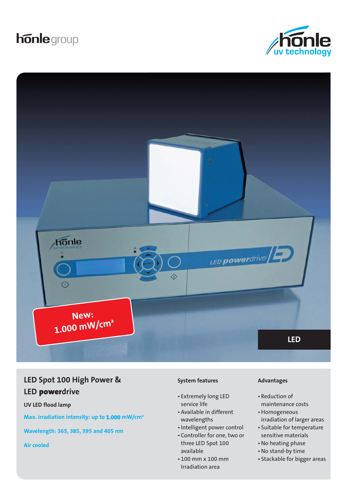# **honle** group





## **LED Spot 100 High Power & LED** power**drive**

**UV LED flood lamp**

**Max. irradiation intensity: up to 1.000 mW/cm²**

**Wavelength: 365, 385, 395 and 405 nm**

**Air cooled**

#### **System features**

- Extremely long LED service life
- Available in different wavelengths
- Intelligent power control
- Controller for one, two or three LED Spot 100 available
- 100 mm x 100 mm Irradiation area

### **Advantages**

- Reduction of maintenance costs
- Homogeneous irradiation of larger areas
- Suitable for temperature sensitive materials
- No heating phase
- No stand-by time
- Stackable for bigger areas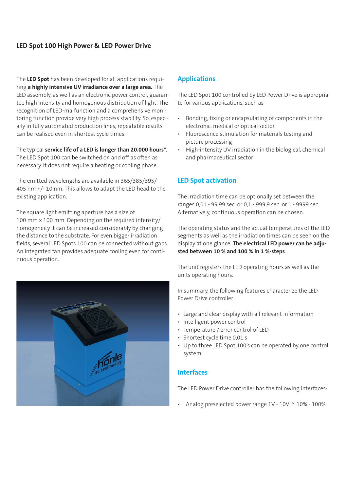## **LED Spot 100 High Power & LED Power Drive**

The **LED Spot** has been developed for all applications requiring **a highly intensive UV irradiance over a large area.** The LED assembly, as well as an electronic power control, guarantee high intensity and homogenous distribution of light. The recognition of LED-malfunction and a comprehensive monitoring function provide very high process stability. So, especially in fully automated production lines, repeatable results can be realised even in shortest cycle times.

The typical **service life of a LED is longer than 20.000 hours\***. The LED Spot 100 can be switched on and off as often as necessary. It does not require a heating or cooling phase.

The emitted wavelengths are available in 365/385/395/ 405 nm +/- 10 nm. This allows to adapt the LED head to the existing application.

The square light emitting aperture has a size of 100 mm x 100 mm. Depending on the required intensity/ homogeneity it can be increased considerably by changing the distance to the substrate. For even bigger irradiation fields, several LED Spots 100 can be connected without gaps. An integrated fan provides adequate cooling even for continuous operation.



## **Applications**

The LED Spot 100 controlled by LED Power Drive is appropriate for various applications, such as

- Bonding, fixing or encapsulating of components in the electronic, medical or optical sector
- Fluorescence stimulation for materials testing and picture processing
- High-intensity UV irradiation in the biological, chemical and pharmaceutical sector

## **LED Spot activation**

The irradiation time can be optionally set between the ranges 0,01 - 99,99 sec. or 0,1 - 999,9 sec. or 1 - 9999 sec. Alternatively, continuous operation can be chosen.

The operating status and the actual temperatures of the LED segments as well as the irradiation times can be seen on the display at one glance. **The electrical LED power can be adjusted between 10 % and 100 % in 1 %-steps**.

The unit registers the LED operating hours as well as the units operating hours.

In summary, the following features characterize the LED Power Drive controller:

- Large and clear display with all relevant information
- Intelligent power control
- Temperature / error control of LED
- Shortest cycle time 0,01 s
- Up to three LED Spot 100's can be operated by one control system

## **Interfaces**

The LED Power Drive controller has the following interfaces:

Analog preselected power range  $1V - 10V \triangleq 10\% - 100\%$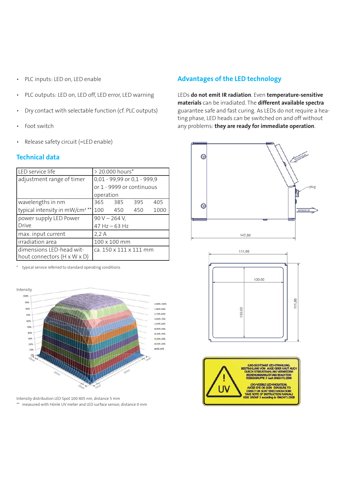- PLC inputs: LED on, LED enable
- PLC outputs: LED on, LED off, LED error, LED warning
- Dry contact with selectable function (cf. PLC outputs)
- Foot switch
- Release safety circuit (=LED enable)

## **Technical data**

| LED service life                           | > 20.000 hours*             |     |     |      |
|--------------------------------------------|-----------------------------|-----|-----|------|
| adjustment range of timer                  | 0,01 - 99,99 or 0,1 - 999,9 |     |     |      |
|                                            | or 1 - 9999 or continuous   |     |     |      |
|                                            | operation                   |     |     |      |
| wavelengths in nm                          | 365                         | 385 | 395 | 405  |
| typical intensity in mW/cm <sup>2 **</sup> | 100                         | 450 | 450 | 1000 |
| power supply LED Power                     | $90 V - 264 V$ ,            |     |     |      |
| Drive                                      | 47 Hz - 63 Hz               |     |     |      |
| max. input current                         | 2,2A                        |     |     |      |
| irradiation area                           | 100 x 100 mm                |     |     |      |
| dimensions LED-head wit-                   | ca. 150 x 111 x 111 mm      |     |     |      |
| hout connectors (H x W x D)                |                             |     |     |      |

typical service referred to standard operating conditions



Intensity distribution LED Spot 100 405 nm, distance 5 mm \*\* measured with Hönle UV meter and LED surface sensor, distance 0 mm

## **Advantages of the LED technology**

LEDs **do not emit IR radiation**. Even **temperature-sensitive materials** can be irradiated. The **different available spectra** guarantee safe and fast curing. As LEDs do not require a heating phase, LED heads can be switched on and off without any problems: **they are ready for immediate operation**.